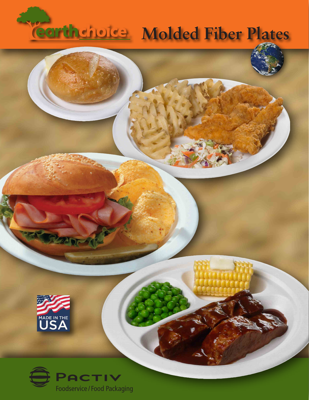## **Molded Fiber Plates**